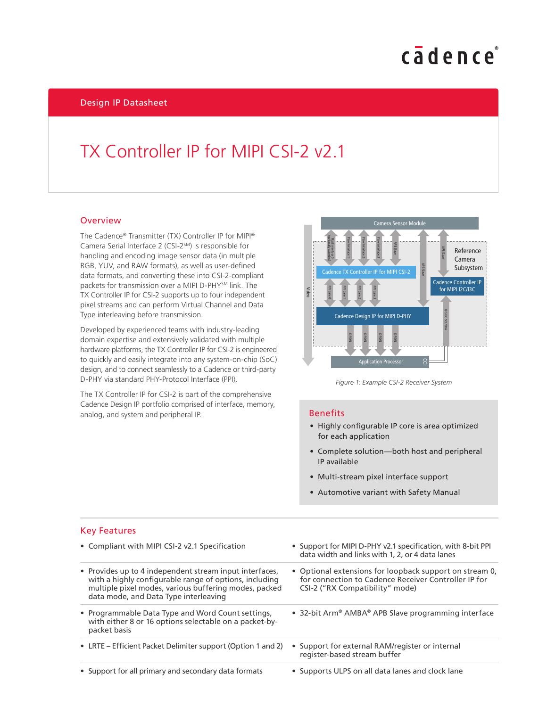# cadence

Design IP Datasheet

### TX Controller IP for MIPI CSI-2 v2.1

#### **Overview**

The Cadence® Transmitter (TX) Controller IP for MIPI® Camera Serial Interface 2 (CSI-2<sup>SM</sup>) is responsible for handling and encoding image sensor data (in multiple RGB, YUV, and RAW formats), as well as user-defined data formats, and converting these into CSI-2-compliant packets for transmission over a MIPI D-PHYSM link. The TX Controller IP for CSI-2 supports up to four independent pixel streams and can perform Virtual Channel and Data Type interleaving before transmission.

Developed by experienced teams with industry-leading domain expertise and extensively validated with multiple hardware platforms, the TX Controller IP for CSI-2 is engineered to quickly and easily integrate into any system-on-chip (SoC) design, and to connect seamlessly to a Cadence or third-party D-PHY via standard PHY-Protocol Interface (PPI).

The TX Controller IP for CSI-2 is part of the comprehensive Cadence Design IP portfolio comprised of interface, memory, analog, and system and peripheral IP.



*Figure 1: Example CSI-2 Receiver System*

#### **Benefits**

- Highly configurable IP core is area optimized for each application
- Complete solution—both host and peripheral IP available
- Multi-stream pixel interface support
- Automotive variant with Safety Manual

#### Key Features

| • Compliant with MIPI CSI-2 v2.1 Specification                                                                                                                                                                      | • Support for MIPI D-PHY v2.1 specification, with 8-bit PPI<br>data width and links with 1, 2, or 4 data lanes                                     |
|---------------------------------------------------------------------------------------------------------------------------------------------------------------------------------------------------------------------|----------------------------------------------------------------------------------------------------------------------------------------------------|
| • Provides up to 4 independent stream input interfaces,<br>with a highly configurable range of options, including<br>multiple pixel modes, various buffering modes, packed<br>data mode, and Data Type interleaving | • Optional extensions for loopback support on stream 0,<br>for connection to Cadence Receiver Controller IP for<br>CSI-2 ("RX Compatibility" mode) |
| • Programmable Data Type and Word Count settings,<br>with either 8 or 16 options selectable on a packet-by-<br>packet basis                                                                                         | • 32-bit Arm® AMBA® APB Slave programming interface                                                                                                |
| • LRTE – Efficient Packet Delimiter support (Option 1 and 2)                                                                                                                                                        | • Support for external RAM/register or internal<br>register-based stream buffer                                                                    |
| • Support for all primary and secondary data formats                                                                                                                                                                | • Supports ULPS on all data lanes and clock lane                                                                                                   |